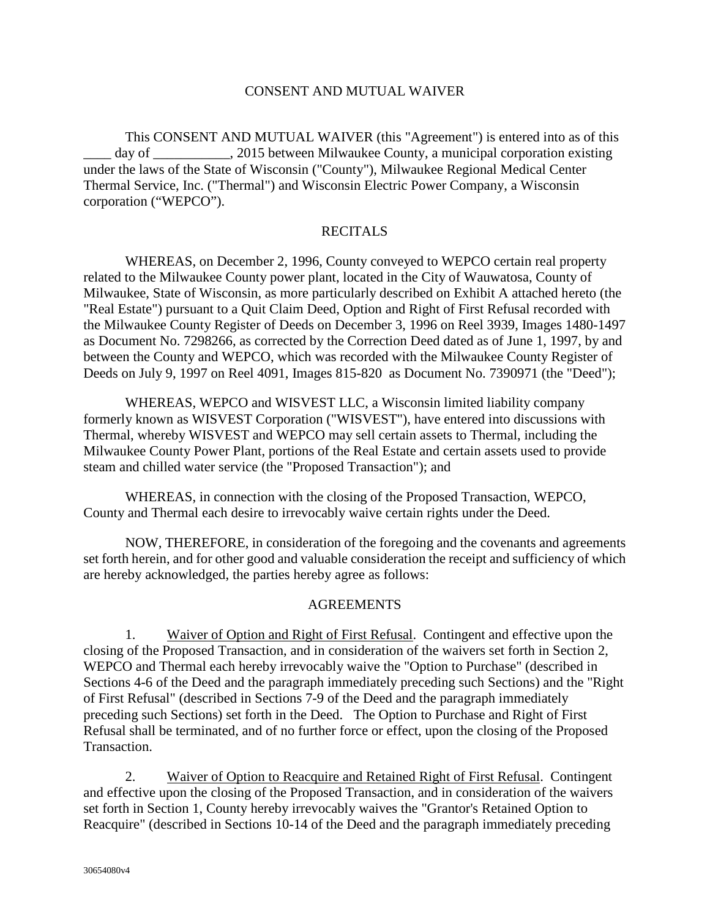#### CONSENT AND MUTUAL WAIVER

This CONSENT AND MUTUAL WAIVER (this "Agreement") is entered into as of this day of \_\_\_\_\_\_\_\_\_, 2015 between Milwaukee County, a municipal corporation existing under the laws of the State of Wisconsin ("County"), Milwaukee Regional Medical Center Thermal Service, Inc. ("Thermal") and Wisconsin Electric Power Company, a Wisconsin corporation ("WEPCO").

#### **RECITALS**

WHEREAS, on December 2, 1996, County conveyed to WEPCO certain real property related to the Milwaukee County power plant, located in the City of Wauwatosa, County of Milwaukee, State of Wisconsin, as more particularly described on Exhibit A attached hereto (the "Real Estate") pursuant to a Quit Claim Deed, Option and Right of First Refusal recorded with the Milwaukee County Register of Deeds on December 3, 1996 on Reel 3939, Images 1480-1497 as Document No. 7298266, as corrected by the Correction Deed dated as of June 1, 1997, by and between the County and WEPCO, which was recorded with the Milwaukee County Register of Deeds on July 9, 1997 on Reel 4091, Images 815-820 as Document No. 7390971 (the "Deed");

WHEREAS, WEPCO and WISVEST LLC, a Wisconsin limited liability company formerly known as WISVEST Corporation ("WISVEST"), have entered into discussions with Thermal, whereby WISVEST and WEPCO may sell certain assets to Thermal, including the Milwaukee County Power Plant, portions of the Real Estate and certain assets used to provide steam and chilled water service (the "Proposed Transaction"); and

WHEREAS, in connection with the closing of the Proposed Transaction, WEPCO, County and Thermal each desire to irrevocably waive certain rights under the Deed.

NOW, THEREFORE, in consideration of the foregoing and the covenants and agreements set forth herein, and for other good and valuable consideration the receipt and sufficiency of which are hereby acknowledged, the parties hereby agree as follows:

#### AGREEMENTS

1. Waiver of Option and Right of First Refusal. Contingent and effective upon the closing of the Proposed Transaction, and in consideration of the waivers set forth in Section 2, WEPCO and Thermal each hereby irrevocably waive the "Option to Purchase" (described in Sections 4-6 of the Deed and the paragraph immediately preceding such Sections) and the "Right of First Refusal" (described in Sections 7-9 of the Deed and the paragraph immediately preceding such Sections) set forth in the Deed. The Option to Purchase and Right of First Refusal shall be terminated, and of no further force or effect, upon the closing of the Proposed Transaction.

2. Waiver of Option to Reacquire and Retained Right of First Refusal. Contingent and effective upon the closing of the Proposed Transaction, and in consideration of the waivers set forth in Section 1, County hereby irrevocably waives the "Grantor's Retained Option to Reacquire" (described in Sections 10-14 of the Deed and the paragraph immediately preceding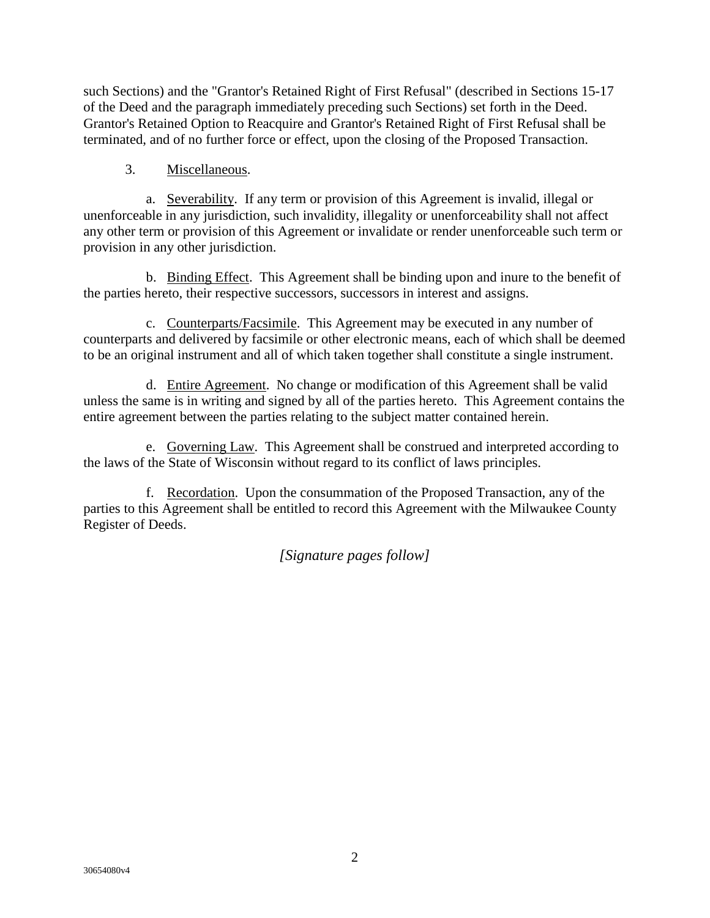such Sections) and the "Grantor's Retained Right of First Refusal" (described in Sections 15-17 of the Deed and the paragraph immediately preceding such Sections) set forth in the Deed. Grantor's Retained Option to Reacquire and Grantor's Retained Right of First Refusal shall be terminated, and of no further force or effect, upon the closing of the Proposed Transaction.

# 3. Miscellaneous.

a. Severability. If any term or provision of this Agreement is invalid, illegal or unenforceable in any jurisdiction, such invalidity, illegality or unenforceability shall not affect any other term or provision of this Agreement or invalidate or render unenforceable such term or provision in any other jurisdiction.

b. Binding Effect.This Agreement shall be binding upon and inure to the benefit of the parties hereto, their respective successors, successors in interest and assigns.

c. Counterparts/Facsimile. This Agreement may be executed in any number of counterparts and delivered by facsimile or other electronic means, each of which shall be deemed to be an original instrument and all of which taken together shall constitute a single instrument.

d. Entire Agreement. No change or modification of this Agreement shall be valid unless the same is in writing and signed by all of the parties hereto. This Agreement contains the entire agreement between the parties relating to the subject matter contained herein.

e. Governing Law. This Agreement shall be construed and interpreted according to the laws of the State of Wisconsin without regard to its conflict of laws principles.

f. Recordation. Upon the consummation of the Proposed Transaction, any of the parties to this Agreement shall be entitled to record this Agreement with the Milwaukee County Register of Deeds.

*[Signature pages follow]*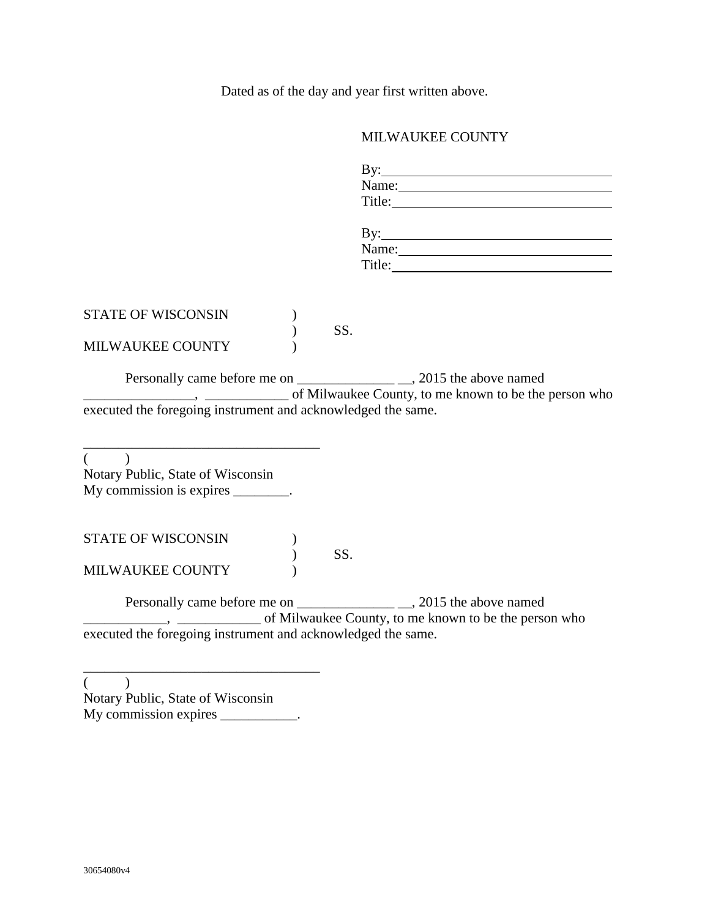Dated as of the day and year first written above.

# MILWAUKEE COUNTY

|                                                                                                                                                                                                                                                                                                                                                                                                                                                            |     | Name:<br>Title:                                           |
|------------------------------------------------------------------------------------------------------------------------------------------------------------------------------------------------------------------------------------------------------------------------------------------------------------------------------------------------------------------------------------------------------------------------------------------------------------|-----|-----------------------------------------------------------|
|                                                                                                                                                                                                                                                                                                                                                                                                                                                            |     | Name:                                                     |
| <b>STATE OF WISCONSIN</b>                                                                                                                                                                                                                                                                                                                                                                                                                                  | SS. |                                                           |
| MILWAUKEE COUNTY                                                                                                                                                                                                                                                                                                                                                                                                                                           |     | (b) The Solution County, to me known to be the person who |
| executed the foregoing instrument and acknowledged the same.                                                                                                                                                                                                                                                                                                                                                                                               |     |                                                           |
| $($ $)$<br>Notary Public, State of Wisconsin<br>My commission is expires $\frac{1}{\sqrt{1-\frac{1}{\sqrt{1-\frac{1}{\sqrt{1-\frac{1}{\sqrt{1-\frac{1}{\sqrt{1-\frac{1}{\sqrt{1-\frac{1}{\sqrt{1-\frac{1}{\sqrt{1-\frac{1}{\sqrt{1-\frac{1}{\sqrt{1-\frac{1}{\sqrt{1-\frac{1}{\sqrt{1-\frac{1}{\sqrt{1-\frac{1}{\sqrt{1-\frac{1}{\sqrt{1-\frac{1}{\sqrt{1-\frac{1}{\sqrt{1-\frac{1}{\sqrt{1-\frac{1}{\sqrt{1-\frac{1}{\sqrt{1-\frac{1}{\sqrt{1-\frac{1}{\$ |     |                                                           |
| <b>STATE OF WISCONSIN</b>                                                                                                                                                                                                                                                                                                                                                                                                                                  | SS. |                                                           |
| MILWAUKEE COUNTY                                                                                                                                                                                                                                                                                                                                                                                                                                           |     |                                                           |
|                                                                                                                                                                                                                                                                                                                                                                                                                                                            |     |                                                           |
| executed the foregoing instrument and acknowledged the same.                                                                                                                                                                                                                                                                                                                                                                                               |     |                                                           |
|                                                                                                                                                                                                                                                                                                                                                                                                                                                            |     |                                                           |

 $($  ) Notary Public, State of Wisconsin My commission expires \_\_\_\_\_\_\_\_\_\_.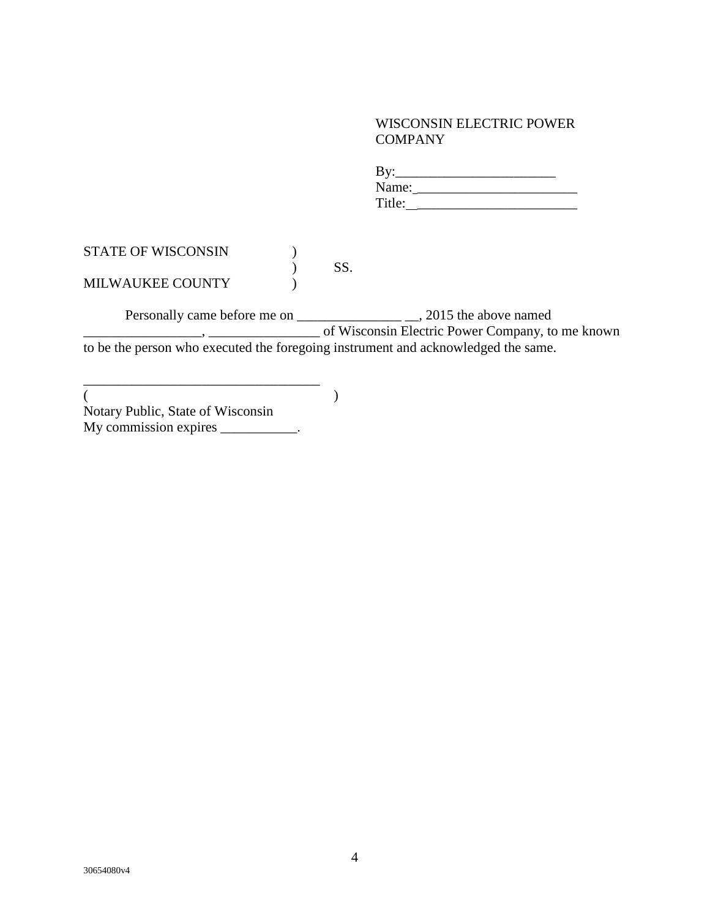### WISCONSIN ELECTRIC POWER COMPANY

| By:    |  |  |
|--------|--|--|
| Name:  |  |  |
| Title: |  |  |

| <b>STATE OF WISCONSIN</b> |     |
|---------------------------|-----|
|                           | SS. |
| <b>MILWAUKEE COUNTY</b>   |     |

Personally came before me on \_\_\_\_\_\_\_\_\_\_\_\_\_\_\_ \_\_, 2015 the above named \_\_\_\_\_\_\_\_\_\_\_\_\_\_\_\_\_, \_\_\_\_\_\_\_\_\_\_\_\_\_\_\_\_ of Wisconsin Electric Power Company, to me known to be the person who executed the foregoing instrument and acknowledged the same.

 $($ Notary Public, State of Wisconsin My commission expires \_\_\_\_\_\_\_\_\_\_\_.

\_\_\_\_\_\_\_\_\_\_\_\_\_\_\_\_\_\_\_\_\_\_\_\_\_\_\_\_\_\_\_\_\_\_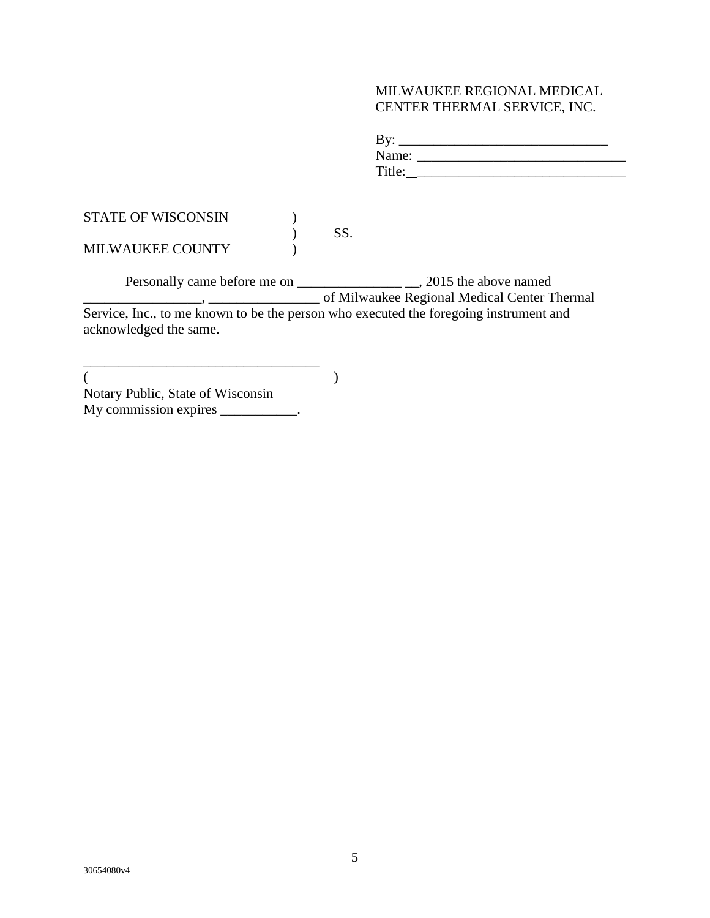### MILWAUKEE REGIONAL MEDICAL CENTER THERMAL SERVICE, INC.

| By:    |  |  |  |
|--------|--|--|--|
| Name:  |  |  |  |
| Title: |  |  |  |

| <b>STATE OF WISCONSIN</b> |  |
|---------------------------|--|
|                           |  |
| <b>MILWAUKEE COUNTY</b>   |  |

Personally came before me on \_\_\_\_\_\_\_\_\_\_\_\_\_\_\_ \_\_, 2015 the above named \_\_\_\_\_\_\_\_\_\_\_\_\_\_\_\_\_, \_\_\_\_\_\_\_\_\_\_\_\_\_\_\_\_ of Milwaukee Regional Medical Center Thermal Service, Inc., to me known to be the person who executed the foregoing instrument and acknowledged the same.

 $($ Notary Public, State of Wisconsin My commission expires \_\_\_\_\_\_\_\_\_\_.

\_\_\_\_\_\_\_\_\_\_\_\_\_\_\_\_\_\_\_\_\_\_\_\_\_\_\_\_\_\_\_\_\_\_